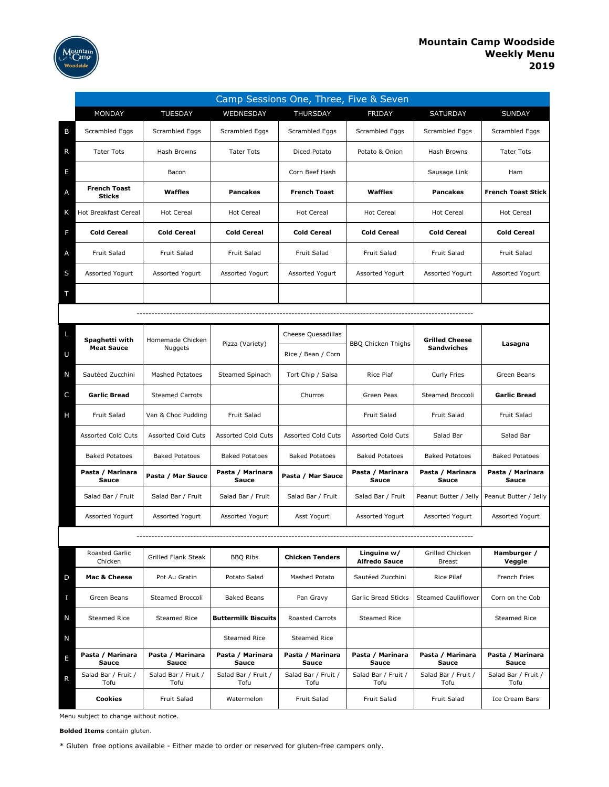

|   | Camp Sessions One, Three, Five & Seven |                             |                             |                             |                                     |                                            |                             |  |  |  |  |
|---|----------------------------------------|-----------------------------|-----------------------------|-----------------------------|-------------------------------------|--------------------------------------------|-----------------------------|--|--|--|--|
|   | MONDAY                                 | <b>TUESDAY</b>              | WEDNESDAY                   | THURSDAY                    | FRIDAY                              | SATURDAY                                   | <b>SUNDAY</b>               |  |  |  |  |
| B | Scrambled Eggs                         | Scrambled Eggs              | Scrambled Eggs              | Scrambled Eggs              | Scrambled Eggs                      | Scrambled Eggs                             | Scrambled Eggs              |  |  |  |  |
| R | <b>Tater Tots</b>                      | Hash Browns                 | <b>Tater Tots</b>           | Diced Potato                | Potato & Onion                      | Hash Browns                                | <b>Tater Tots</b>           |  |  |  |  |
| Е |                                        | Bacon                       |                             | Corn Beef Hash              |                                     | Sausage Link                               | Ham                         |  |  |  |  |
| Α | <b>French Toast</b><br><b>Sticks</b>   | Waffles                     | <b>Pancakes</b>             | <b>French Toast</b>         | Waffles                             | <b>Pancakes</b>                            | <b>French Toast Stick</b>   |  |  |  |  |
| K | <b>Hot Breakfast Cereal</b>            | <b>Hot Cereal</b>           | <b>Hot Cereal</b>           | <b>Hot Cereal</b>           | <b>Hot Cereal</b>                   | <b>Hot Cereal</b>                          | <b>Hot Cereal</b>           |  |  |  |  |
| F | <b>Cold Cereal</b>                     | <b>Cold Cereal</b>          | <b>Cold Cereal</b>          | <b>Cold Cereal</b>          | <b>Cold Cereal</b>                  | <b>Cold Cereal</b>                         | <b>Cold Cereal</b>          |  |  |  |  |
| Α | Fruit Salad                            | Fruit Salad                 | Fruit Salad                 | <b>Fruit Salad</b>          | Fruit Salad                         | Fruit Salad                                | Fruit Salad                 |  |  |  |  |
| S | Assorted Yogurt                        | Assorted Yogurt             | Assorted Yogurt             | Assorted Yogurt             | Assorted Yogurt                     | Assorted Yogurt                            | Assorted Yogurt             |  |  |  |  |
| Т |                                        |                             |                             |                             |                                     |                                            |                             |  |  |  |  |
|   |                                        |                             |                             |                             |                                     |                                            |                             |  |  |  |  |
| L | Spaghetti with                         | Homemade Chicken            | Pizza (Variety)             | Cheese Quesadillas          | <b>BBQ Chicken Thighs</b>           | <b>Grilled Cheese</b><br><b>Sandwiches</b> | Lasagna                     |  |  |  |  |
| U | <b>Meat Sauce</b>                      | <b>Nuggets</b>              |                             | Rice / Bean / Corn          |                                     |                                            |                             |  |  |  |  |
| N | Sautéed Zucchini                       | <b>Mashed Potatoes</b>      | Steamed Spinach             | Tort Chip / Salsa           | <b>Rice Piaf</b>                    | Curly Fries                                | Green Beans                 |  |  |  |  |
| C | <b>Garlic Bread</b>                    | <b>Steamed Carrots</b>      |                             | Churros                     | Green Peas                          | Steamed Broccoli                           | <b>Garlic Bread</b>         |  |  |  |  |
| Н | Fruit Salad                            | Van & Choc Pudding          | Fruit Salad                 |                             | Fruit Salad                         | Fruit Salad                                | Fruit Salad                 |  |  |  |  |
|   | <b>Assorted Cold Cuts</b>              | Assorted Cold Cuts          | <b>Assorted Cold Cuts</b>   | <b>Assorted Cold Cuts</b>   | <b>Assorted Cold Cuts</b>           | Salad Bar                                  | Salad Bar                   |  |  |  |  |
|   | <b>Baked Potatoes</b>                  | <b>Baked Potatoes</b>       | <b>Baked Potatoes</b>       | <b>Baked Potatoes</b>       | <b>Baked Potatoes</b>               | <b>Baked Potatoes</b>                      | <b>Baked Potatoes</b>       |  |  |  |  |
|   | Pasta / Marinara<br>Sauce              | Pasta / Mar Sauce           | Pasta / Marinara<br>Sauce   | Pasta / Mar Sauce           | Pasta / Marinara<br>Sauce           | Pasta / Marinara<br>Sauce                  | Pasta / Marinara<br>Sauce   |  |  |  |  |
|   | Salad Bar / Fruit                      | Salad Bar / Fruit           | Salad Bar / Fruit           | Salad Bar / Fruit           | Salad Bar / Fruit                   | Peanut Butter / Jelly                      | Peanut Butter / Jelly       |  |  |  |  |
|   | Assorted Yogurt                        | Assorted Yogurt             | Assorted Yogurt             | Asst Yogurt                 | Assorted Yogurt                     | Assorted Yogurt                            | Assorted Yogurt             |  |  |  |  |
|   |                                        |                             |                             |                             |                                     |                                            |                             |  |  |  |  |
|   | Roasted Garlic<br>Chicken              | Grilled Flank Steak         | <b>BBQ Ribs</b>             | <b>Chicken Tenders</b>      | Linguine w/<br><b>Alfredo Sauce</b> | Grilled Chicken<br>Breast                  | Hamburger /<br>Veggie       |  |  |  |  |
| D | Mac & Cheese                           | Pot Au Gratin               | Potato Salad                | Mashed Potato               | Sautéed Zucchini                    | Rice Pilaf                                 | French Fries                |  |  |  |  |
| п | Green Beans                            | Steamed Broccoli            | <b>Baked Beans</b>          | Pan Gravy                   | <b>Garlic Bread Sticks</b>          | <b>Steamed Cauliflower</b>                 | Corn on the Cob             |  |  |  |  |
| N | Steamed Rice                           | <b>Steamed Rice</b>         | <b>Buttermilk Biscuits</b>  | Roasted Carrots             | <b>Steamed Rice</b>                 |                                            | <b>Steamed Rice</b>         |  |  |  |  |
| N |                                        |                             | Steamed Rice                | Steamed Rice                |                                     |                                            |                             |  |  |  |  |
| E | Pasta / Marinara<br>Sauce              | Pasta / Marinara<br>Sauce   | Pasta / Marinara<br>Sauce   | Pasta / Marinara<br>Sauce   | Pasta / Marinara<br>Sauce           | Pasta / Marinara<br>Sauce                  | Pasta / Marinara<br>Sauce   |  |  |  |  |
| R | Salad Bar / Fruit /<br>Tofu            | Salad Bar / Fruit /<br>Tofu | Salad Bar / Fruit /<br>Tofu | Salad Bar / Fruit /<br>Tofu | Salad Bar / Fruit /<br>Tofu         | Salad Bar / Fruit /<br>Tofu                | Salad Bar / Fruit /<br>Tofu |  |  |  |  |
|   | Cookies                                | Fruit Salad                 | Watermelon                  | Fruit Salad                 | Fruit Salad                         | Fruit Salad                                | Ice Cream Bars              |  |  |  |  |

Menu subject to change without notice.

**Bolded Items** contain gluten.

\* Gluten free options available - Either made to order or reserved for gluten-free campers only.